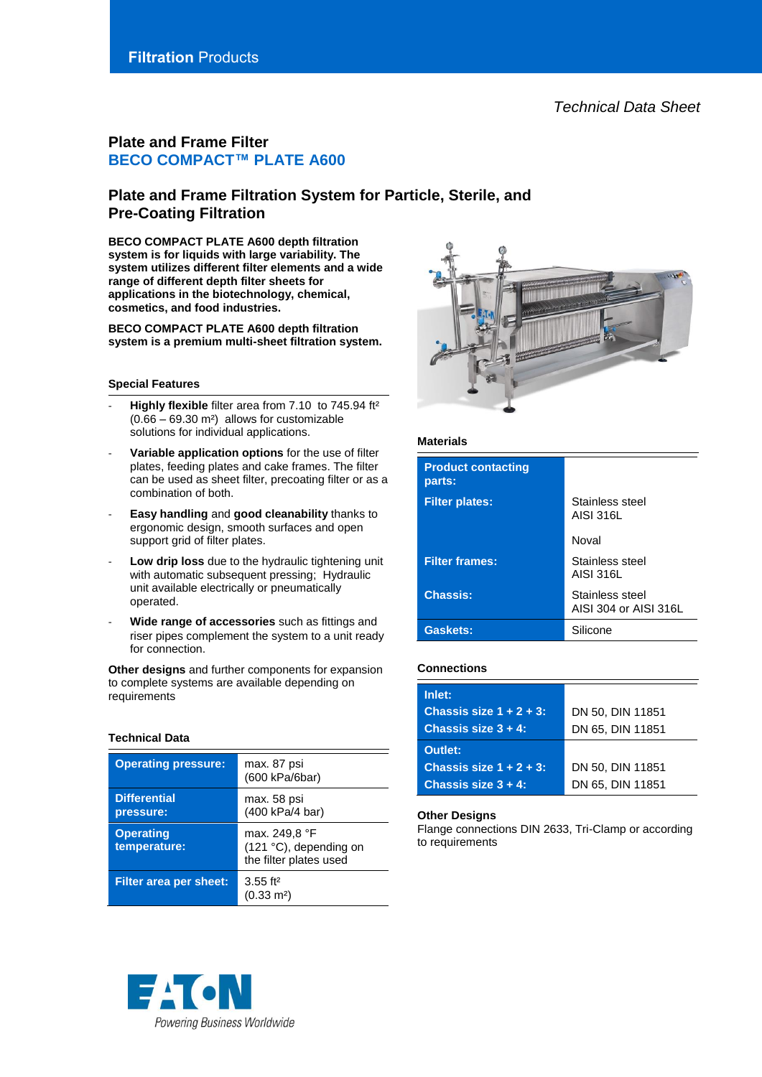# **Filtration** Products

# **Plate and Frame Filter BECO COMPACT™ PLATE A600**

# **Plate and Frame Filtration System for Particle, Sterile, and Pre-Coating Filtration**

**BECO COMPACT PLATE A600 depth filtration system is for liquids with large variability. The system utilizes different filter elements and a wide range of different depth filter sheets for applications in the biotechnology, chemical, cosmetics, and food industries.**

**BECO COMPACT PLATE A600 depth filtration system is a premium multi-sheet filtration system.**

### **Special Features**

- Highly flexible filter area from 7.10 to 745.94 ft<sup>2</sup> (0.66 – 69.30 m²) allows for customizable solutions for individual applications.
- Variable application options for the use of filter plates, feeding plates and cake frames. The filter can be used as sheet filter, precoating filter or as a combination of both.
- **Easy handling** and **good cleanability** thanks to ergonomic design, smooth surfaces and open support grid of filter plates.
- Low drip loss due to the hydraulic tightening unit with automatic subsequent pressing; Hydraulic unit available electrically or pneumatically operated.
- **Wide range of accessories** such as fittings and riser pipes complement the system to a unit ready for connection.

**Other designs** and further components for expansion to complete systems are available depending on **requirements** 

## **Technical Data**

| <b>Operating pressure:</b>       | max. 87 psi<br>(600 kPa/6bar)                                     |
|----------------------------------|-------------------------------------------------------------------|
| <b>Differential</b><br>pressure: | max. 58 psi<br>(400 kPa/4 bar)                                    |
| <b>Operating</b><br>temperature: | max. 249,8 °F<br>(121 °C), depending on<br>the filter plates used |
| <b>Filter area per sheet:</b>    | $3.55$ ft <sup>2</sup><br>$(0.33 \text{ m}^2)$                    |





## **Materials**

| <b>Product contacting</b><br>parts: |                                          |  |  |
|-------------------------------------|------------------------------------------|--|--|
| <b>Filter plates:</b>               | Stainless steel<br>AISI 316L             |  |  |
|                                     | Noval                                    |  |  |
| <b>Filter frames:</b>               | Stainless steel<br>AISI 316L             |  |  |
| <b>Chassis:</b>                     | Stainless steel<br>AISI 304 or AISI 316L |  |  |
| Gaskets:                            | Silicone                                 |  |  |

## **Connections**

| Inlet:                     |                  |  |  |
|----------------------------|------------------|--|--|
| Chassis size $1 + 2 + 3$ : | DN 50, DIN 11851 |  |  |
| Chassis size $3 + 4$ :     | DN 65, DIN 11851 |  |  |
| Outlet:                    |                  |  |  |
| Chassis size $1 + 2 + 3$ : | DN 50, DIN 11851 |  |  |
| Chassis size $3 + 4$ :     | DN 65, DIN 11851 |  |  |

## **Other Designs**

Flange connections DIN 2633, Tri-Clamp or according to requirements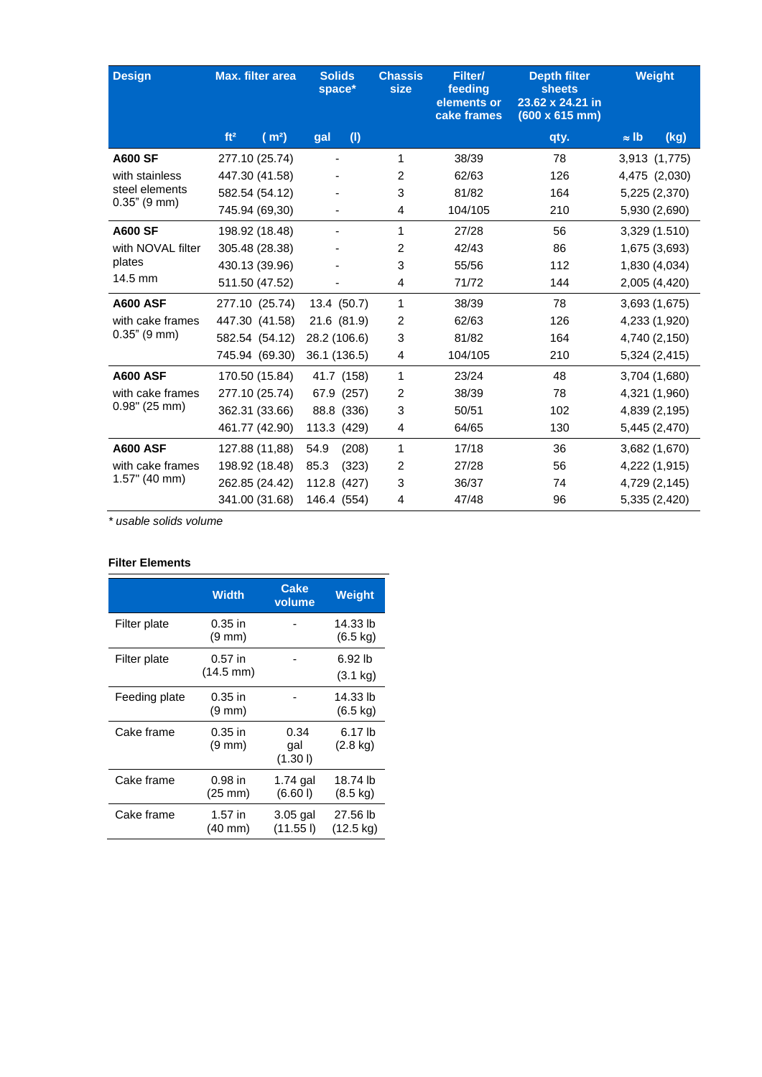| <b>Design</b>                      | <b>Max. filter area</b>              | <b>Solids</b><br>space* | <b>Chassis</b><br>size | Filter/<br>feeding<br>elements or<br>cake frames | <b>Depth filter</b><br><b>sheets</b><br>23.62 x 24.21 in<br>$(600 \times 615 \text{ mm})$ | Weight               |
|------------------------------------|--------------------------------------|-------------------------|------------------------|--------------------------------------------------|-------------------------------------------------------------------------------------------|----------------------|
|                                    | ft <sup>2</sup><br>(m <sup>2</sup> ) | (1)<br>gal              |                        |                                                  | qty.                                                                                      | $\approx$ lb<br>(kg) |
| <b>A600 SF</b>                     | 277.10 (25.74)                       |                         | 1                      | 38/39                                            | 78                                                                                        | 3,913 (1,775)        |
| with stainless                     | 447.30 (41.58)                       |                         | $\overline{c}$         | 62/63                                            | 126                                                                                       | 4,475 (2,030)        |
| steel elements                     | 582.54 (54.12)                       |                         | 3                      | 81/82                                            | 164                                                                                       | 5,225 (2,370)        |
| $0.35$ " (9 mm)                    | 745.94 (69,30)                       |                         | 4                      | 104/105                                          | 210                                                                                       | 5,930 (2,690)        |
| <b>A600 SF</b>                     | 198.92 (18.48)                       |                         | 1                      | 27/28                                            | 56                                                                                        | 3,329 (1.510)        |
| with NOVAL filter<br>plates        | 305.48 (28.38)                       |                         | $\overline{c}$         | 42/43                                            | 86                                                                                        | 1,675 (3,693)        |
|                                    | 430.13 (39.96)                       |                         | 3                      | 55/56                                            | 112                                                                                       | 1,830 (4,034)        |
| 14.5 mm                            | 511.50 (47.52)                       |                         | 4                      | 71/72                                            | 144                                                                                       | 2,005 (4,420)        |
| <b>A600 ASF</b>                    | 277.10 (25.74)                       | 13.4 (50.7)             | 1                      | 38/39                                            | 78                                                                                        | 3,693 (1,675)        |
| with cake frames<br>$0.35"$ (9 mm) | 447.30 (41.58)                       | 21.6 (81.9)             | $\overline{2}$         | 62/63                                            | 126                                                                                       | 4,233 (1,920)        |
|                                    | 582.54 (54.12)                       | 28.2 (106.6)            | 3                      | 81/82                                            | 164                                                                                       | 4,740 (2,150)        |
|                                    | 745.94 (69.30)                       | 36.1 (136.5)            | 4                      | 104/105                                          | 210                                                                                       | 5,324 (2,415)        |
| <b>A600 ASF</b>                    | 170.50 (15.84)                       | 41.7 (158)              | 1                      | 23/24                                            | 48                                                                                        | 3,704 (1,680)        |
| with cake frames                   | 277.10 (25.74)                       | 67.9 (257)              | 2                      | 38/39                                            | 78                                                                                        | 4,321 (1,960)        |
| $0.98"$ (25 mm)                    | 362.31 (33.66)                       | 88.8 (336)              | 3                      | 50/51                                            | 102                                                                                       | 4,839 (2,195)        |
|                                    | 461.77 (42.90)                       | 113.3 (429)             | 4                      | 64/65                                            | 130                                                                                       | 5,445 (2,470)        |
| <b>A600 ASF</b>                    | 127.88 (11,88)                       | 54.9<br>(208)           | 1                      | 17/18                                            | 36                                                                                        | 3,682 (1,670)        |
| with cake frames                   | 198.92 (18.48)                       | 85.3<br>(323)           | 2                      | 27/28                                            | 56                                                                                        | 4,222 (1,915)        |
| $1.57$ " (40 mm)                   | 262.85 (24.42)                       | 112.8 (427)             | 3                      | 36/37                                            | 74                                                                                        | 4,729 (2,145)        |
|                                    | 341.00 (31.68)                       | 146.4 (554)             | 4                      | 47/48                                            | 96                                                                                        | 5,335 (2,420)        |

*\* usable solids volume*

# **Filter Elements**

|               | <b>Width</b>                     | <b>Cake</b><br>volume  | Weight                                   |
|---------------|----------------------------------|------------------------|------------------------------------------|
| Filter plate  | $0.35$ in<br>$(9 \text{ mm})$    |                        | 14.33 lb<br>$(6.5 \text{ kg})$           |
| Filter plate  | $0.57$ in<br>$(14.5 \text{ mm})$ |                        | 6.92 lb<br>$(3.1 \text{ kg})$            |
| Feeding plate | $0.35$ in<br>$(9 \text{ mm})$    |                        | 14.33 lb<br>$(6.5 \text{ kg})$           |
| Cake frame    | $0.35$ in<br>$(9 \text{ mm})$    | 0.34<br>gal<br>(1.301) | 6.17 <sub>lb</sub><br>$(2.8 \text{ kg})$ |
| Cake frame    | $0.98$ in<br>(25 mm)             | 1.74 gal<br>(6.601)    | 18.74 lb<br>$(8.5 \text{ kg})$           |
| Cake frame    | $1.57$ in<br>(40 mm)             | 3.05 gal<br>(11.55)    | 27.56 lb<br>$(12.5 \text{ kg})$          |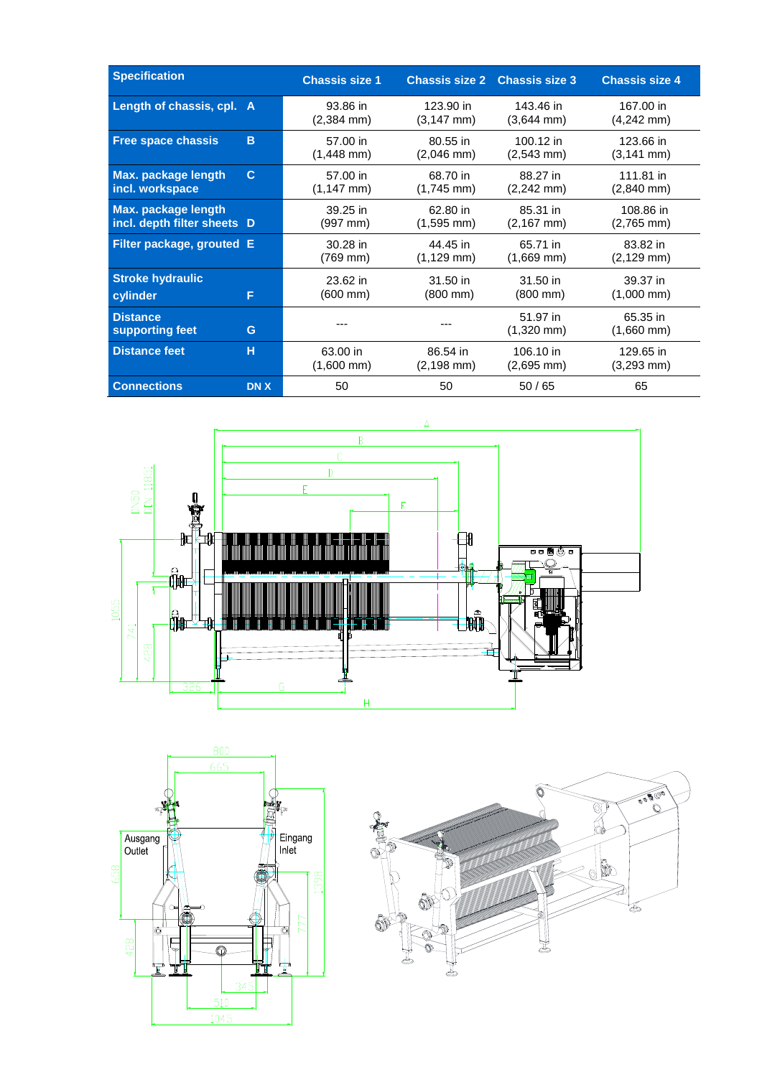| <b>Specification</b>                                      |            | <b>Chassis size 1</b>            |                                    | <b>Chassis size 2 Chassis size 3</b> | <b>Chassis size 4</b>              |
|-----------------------------------------------------------|------------|----------------------------------|------------------------------------|--------------------------------------|------------------------------------|
| Length of chassis, cpl. A                                 |            | 93.86 in<br>$(2,384 \text{ mm})$ | 123.90 in<br>$(3, 147 \text{ mm})$ | 143.46 in<br>$(3,644 \text{ mm})$    | 167.00 in<br>$(4,242 \text{ mm})$  |
| <b>Free space chassis</b>                                 | B          | 57.00 in<br>$(1,448 \text{ mm})$ | 80.55 in<br>$(2,046$ mm $)$        | 100.12 in<br>$(2,543 \text{ mm})$    | 123.66 in<br>$(3, 141 \text{ mm})$ |
| Max. package length<br>incl. workspace                    | C          | 57.00 in<br>$(1,147$ mm)         | 68.70 in<br>$(1,745 \text{ mm})$   | 88.27 in<br>$(2,242 \text{ mm})$     | 111.81 in<br>$(2,840$ mm $)$       |
| <b>Max.</b> package length<br>incl. depth filter sheets D |            | 39.25 in<br>$(997 \, \text{mm})$ | 62.80 in<br>$(1,595 \text{ mm})$   | 85.31 in<br>$(2,167$ mm $)$          | 108.86 in<br>$(2,765$ mm)          |
| Filter package, grouted E                                 |            | 30.28 in<br>(769 mm)             | 44.45 in<br>$(1, 129$ mm $)$       | 65.71 in<br>$(1,669$ mm)             | 83.82 in<br>$(2, 129$ mm $)$       |
| <b>Stroke hydraulic</b><br>cylinder                       | F          | 23.62 in<br>$(600 \, \text{mm})$ | $31.50$ in<br>$(800 \, \text{mm})$ | 31.50 in<br>$(800 \, \text{mm})$     | 39.37 in<br>$(1,000 \text{ mm})$   |
| <b>Distance</b><br>supporting feet                        | G          | ---                              |                                    | 51.97 in<br>$(1,320$ mm $)$          | 65.35 in<br>$(1,660$ mm $)$        |
| <b>Distance feet</b>                                      | н          | 63.00 in<br>$(1,600$ mm $)$      | 86.54 in<br>$(2, 198 \text{ mm})$  | 106.10 in<br>$(2,695 \text{ mm})$    | 129.65 in<br>$(3,293 \text{ mm})$  |
| <b>Connections</b>                                        | <b>DNX</b> | 50                               | 50                                 | 50/65                                | 65                                 |